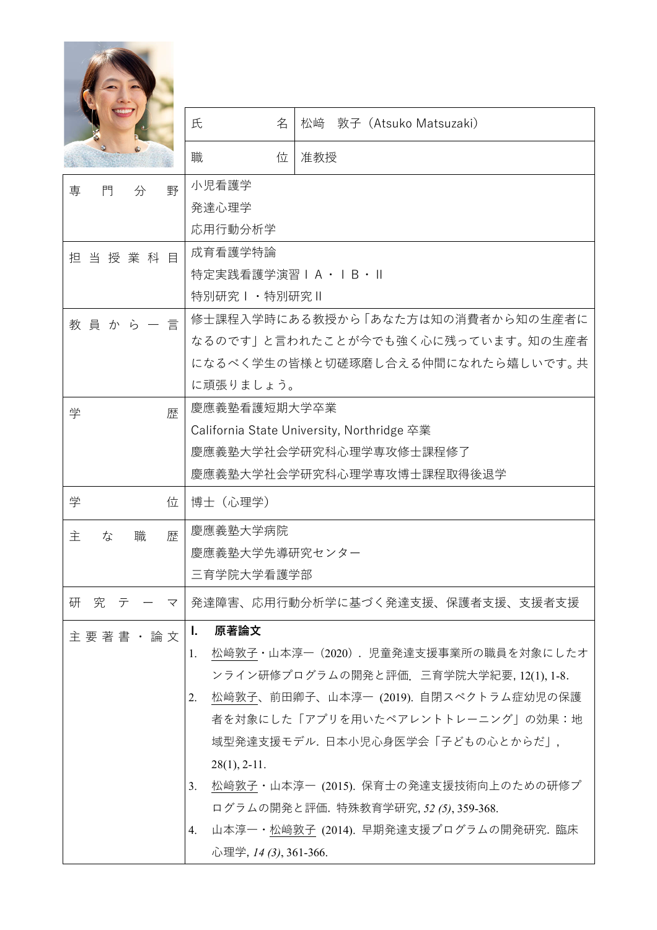|                  | 氏<br>名                      | 敦子(Atsuko Matsuzaki)<br>松﨑                                                |
|------------------|-----------------------------|---------------------------------------------------------------------------|
|                  | 職<br>位                      | 准教授                                                                       |
| 野<br>門<br>専<br>分 | 小児看護学                       |                                                                           |
|                  | 発達心理学                       |                                                                           |
|                  | 応用行動分析学                     |                                                                           |
| 担当授業科目           | 成育看護学特論<br>特定実践看護学演習IA・IB・Ⅱ |                                                                           |
|                  | 特別研究Ⅰ・特別研究Ⅱ                 |                                                                           |
|                  |                             | 修士課程入学時にある教授から「あなた方は知の消費者から知の生産者に                                         |
| 教員 か ら 一 言       |                             | なるのです」と言われたことが今でも強く心に残っています。知の生産者                                         |
|                  |                             | になるべく学生の皆様と切磋琢磨し合える仲間になれたら嬉しいです。共                                         |
|                  | に頑張りましょう。                   |                                                                           |
| 学<br>歴           | 慶應義塾看護短期大学卒業                |                                                                           |
|                  |                             | California State University, Northridge 卒業                                |
|                  |                             | 慶應義塾大学社会学研究科心理学専攻修士課程修了                                                   |
|                  |                             | 慶應義塾大学社会学研究科心理学専攻博士課程取得後退学                                                |
| 学<br>位           | 博士(心理学)                     |                                                                           |
| 埜<br>職<br>主<br>な | 慶應義塾大学病院                    |                                                                           |
|                  | 慶應義塾大学先導研究センター              |                                                                           |
|                  | 三育学院大学看護学部                  |                                                                           |
| 研<br>究 テ ー マ     |                             | 発達障害、応用行動分析学に基づく発達支援、保護者支援、支援者支援                                          |
| 主 要 著 書 ・ 論 文    | 原著論文<br><u>L.</u>           |                                                                           |
|                  | 1.                          | 松﨑敦子・山本淳一(2020).児童発達支援事業所の職員を対象にしたオ                                       |
|                  |                             | ンライン研修プログラムの開発と評価. 三育学院大学紀要, 12(1), 1-8.                                  |
|                  | 2.                          | 松﨑敦子、前田卿子、山本淳一 (2019). 自閉スペクトラム症幼児の保護<br>者を対象にした「アプリを用いたペアレントトレーニング」の効果:地 |
|                  |                             | 域型発達支援モデル. 日本小児心身医学会「子どもの心とからだ」,                                          |
|                  | $28(1), 2-11.$              |                                                                           |
|                  | 3.                          | 松﨑敦子・山本淳一 (2015). 保育士の発達支援技術向上のための研修プ                                     |
|                  |                             | ログラムの開発と評価.特殊教育学研究, 52 (5), 359-368.                                      |
|                  | 4.                          | 山本淳一・松﨑敦子 (2014). 早期発達支援プログラムの開発研究. 臨床                                    |
|                  | 心理学, 14 (3), 361-366.       |                                                                           |